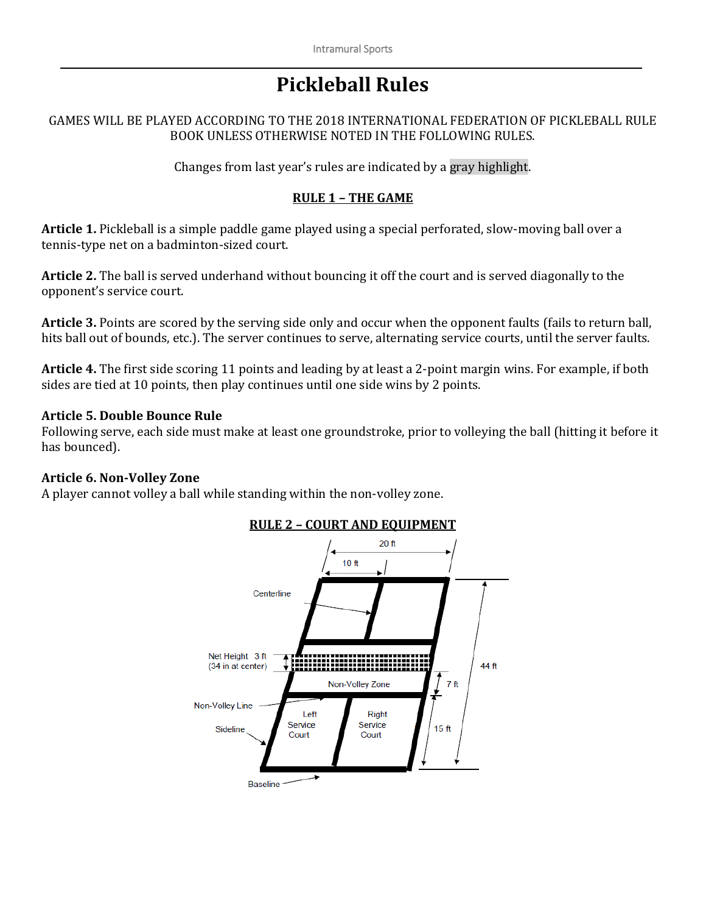# **Pickleball Rules**

#### GAMES WILL BE PLAYED ACCORDING TO THE 2018 INTERNATIONAL FEDERATION OF PICKLEBALL RULE BOOK UNLESS OTHERWISE NOTED IN THE FOLLOWING RULES.

Changes from last year's rules are indicated by a gray highlight.

# **RULE 1 – THE GAME**

**Article 1.** Pickleball is a simple paddle game played using a special perforated, slow-moving ball over a tennis-type net on a badminton-sized court.

**Article 2.** The ball is served underhand without bouncing it off the court and is served diagonally to the opponent's service court.

**Article 3.** Points are scored by the serving side only and occur when the opponent faults (fails to return ball, hits ball out of bounds, etc.). The server continues to serve, alternating service courts, until the server faults.

**Article 4.** The first side scoring 11 points and leading by at least a 2-point margin wins. For example, if both sides are tied at 10 points, then play continues until one side wins by 2 points.

#### **Article 5. Double Bounce Rule**

Following serve, each side must make at least one groundstroke, prior to volleying the ball (hitting it before it has bounced).

#### **Article 6. Non-Volley Zone**

A player cannot volley a ball while standing within the non-volley zone.



## **RULE 2 – COURT AND EQUIPMENT**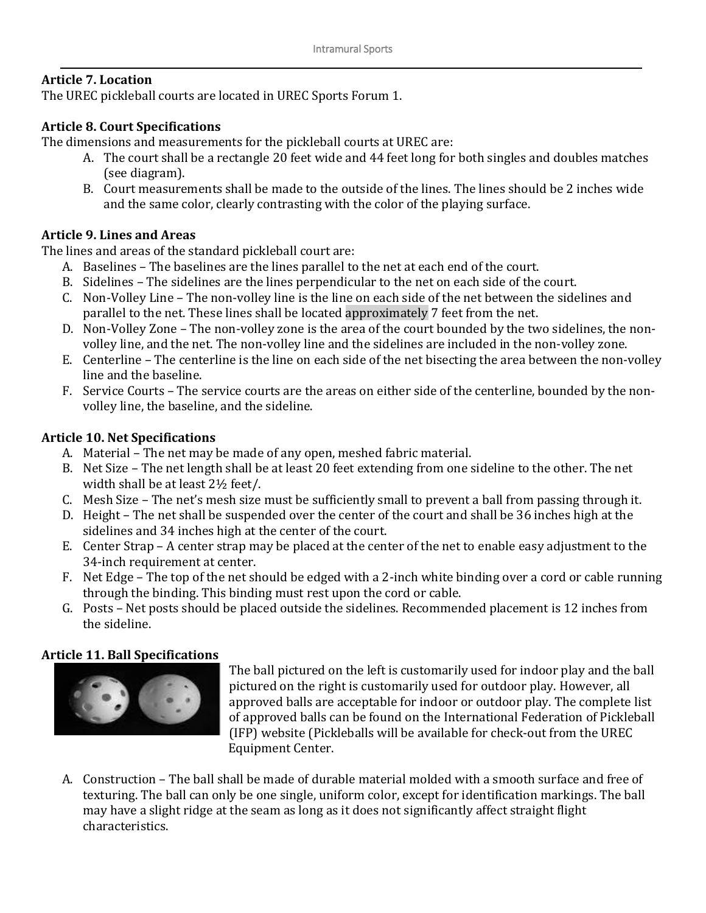# **Article 7. Location**

The UREC pickleball courts are located in UREC Sports Forum 1.

# **Article 8. Court Specifications**

The dimensions and measurements for the pickleball courts at UREC are:

- A. The court shall be a rectangle 20 feet wide and 44 feet long for both singles and doubles matches (see diagram).
- B. Court measurements shall be made to the outside of the lines. The lines should be 2 inches wide and the same color, clearly contrasting with the color of the playing surface.

# **Article 9. Lines and Areas**

The lines and areas of the standard pickleball court are:

- A. Baselines The baselines are the lines parallel to the net at each end of the court.
- B. Sidelines The sidelines are the lines perpendicular to the net on each side of the court.
- C. Non-Volley Line The non-volley line is the line on each side of the net between the sidelines and parallel to the net. These lines shall be located approximately 7 feet from the net.
- D. Non-Volley Zone The non-volley zone is the area of the court bounded by the two sidelines, the nonvolley line, and the net. The non-volley line and the sidelines are included in the non-volley zone.
- E. Centerline The centerline is the line on each side of the net bisecting the area between the non-volley line and the baseline.
- F. Service Courts The service courts are the areas on either side of the centerline, bounded by the nonvolley line, the baseline, and the sideline.

# **Article 10. Net Specifications**

- A. Material The net may be made of any open, meshed fabric material.
- B. Net Size The net length shall be at least 20 feet extending from one sideline to the other. The net width shall be at least 2½ feet/.
- C. Mesh Size The net's mesh size must be sufficiently small to prevent a ball from passing through it.
- D. Height The net shall be suspended over the center of the court and shall be 36 inches high at the sidelines and 34 inches high at the center of the court.
- E. Center Strap A center strap may be placed at the center of the net to enable easy adjustment to the 34-inch requirement at center.
- F. Net Edge The top of the net should be edged with a 2-inch white binding over a cord or cable running through the binding. This binding must rest upon the cord or cable.
- G. Posts Net posts should be placed outside the sidelines. Recommended placement is 12 inches from the sideline.

## **Article 11. Ball Specifications**



The ball pictured on the left is customarily used for indoor play and the ball pictured on the right is customarily used for outdoor play. However, all approved balls are acceptable for indoor or outdoor play. The complete list of approved balls can be found on the International Federation of Pickleball (IFP) website (Pickleballs will be available for check-out from the UREC Equipment Center.

A. Construction – The ball shall be made of durable material molded with a smooth surface and free of texturing. The ball can only be one single, uniform color, except for identification markings. The ball may have a slight ridge at the seam as long as it does not significantly affect straight flight characteristics.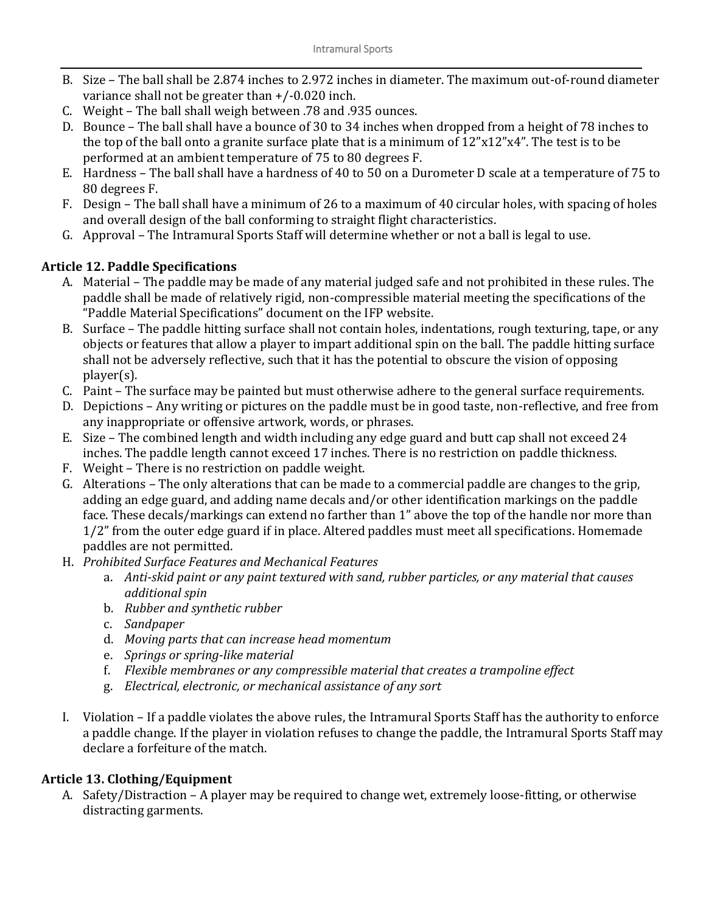- B. Size The ball shall be 2.874 inches to 2.972 inches in diameter. The maximum out-of-round diameter variance shall not be greater than +/-0.020 inch.
- C. Weight The ball shall weigh between .78 and .935 ounces.
- D. Bounce The ball shall have a bounce of 30 to 34 inches when dropped from a height of 78 inches to the top of the ball onto a granite surface plate that is a minimum of 12"x12"x4". The test is to be performed at an ambient temperature of 75 to 80 degrees F.
- E. Hardness The ball shall have a hardness of 40 to 50 on a Durometer D scale at a temperature of 75 to 80 degrees F.
- F. Design The ball shall have a minimum of 26 to a maximum of 40 circular holes, with spacing of holes and overall design of the ball conforming to straight flight characteristics.
- G. Approval The Intramural Sports Staff will determine whether or not a ball is legal to use.

# **Article 12. Paddle Specifications**

- A. Material The paddle may be made of any material judged safe and not prohibited in these rules. The paddle shall be made of relatively rigid, non-compressible material meeting the specifications of the "Paddle Material Specifications" document on the IFP website.
- B. Surface The paddle hitting surface shall not contain holes, indentations, rough texturing, tape, or any objects or features that allow a player to impart additional spin on the ball. The paddle hitting surface shall not be adversely reflective, such that it has the potential to obscure the vision of opposing player(s).
- C. Paint The surface may be painted but must otherwise adhere to the general surface requirements.
- D. Depictions Any writing or pictures on the paddle must be in good taste, non-reflective, and free from any inappropriate or offensive artwork, words, or phrases.
- E. Size The combined length and width including any edge guard and butt cap shall not exceed 24 inches. The paddle length cannot exceed 17 inches. There is no restriction on paddle thickness.
- F. Weight There is no restriction on paddle weight.
- G. Alterations The only alterations that can be made to a commercial paddle are changes to the grip, adding an edge guard, and adding name decals and/or other identification markings on the paddle face. These decals/markings can extend no farther than 1" above the top of the handle nor more than 1/2" from the outer edge guard if in place. Altered paddles must meet all specifications. Homemade paddles are not permitted.
- H. *Prohibited Surface Features and Mechanical Features*
	- a. *Anti-skid paint or any paint textured with sand, rubber particles, or any material that causes additional spin*
	- b. *Rubber and synthetic rubber*
	- c. *Sandpaper*
	- d. *Moving parts that can increase head momentum*
	- e. *Springs or spring-like material*
	- f. *Flexible membranes or any compressible material that creates a trampoline effect*
	- g. *Electrical, electronic, or mechanical assistance of any sort*
- I. Violation If a paddle violates the above rules, the Intramural Sports Staff has the authority to enforce a paddle change. If the player in violation refuses to change the paddle, the Intramural Sports Staff may declare a forfeiture of the match.

# **Article 13. Clothing/Equipment**

A. Safety/Distraction – A player may be required to change wet, extremely loose-fitting, or otherwise distracting garments.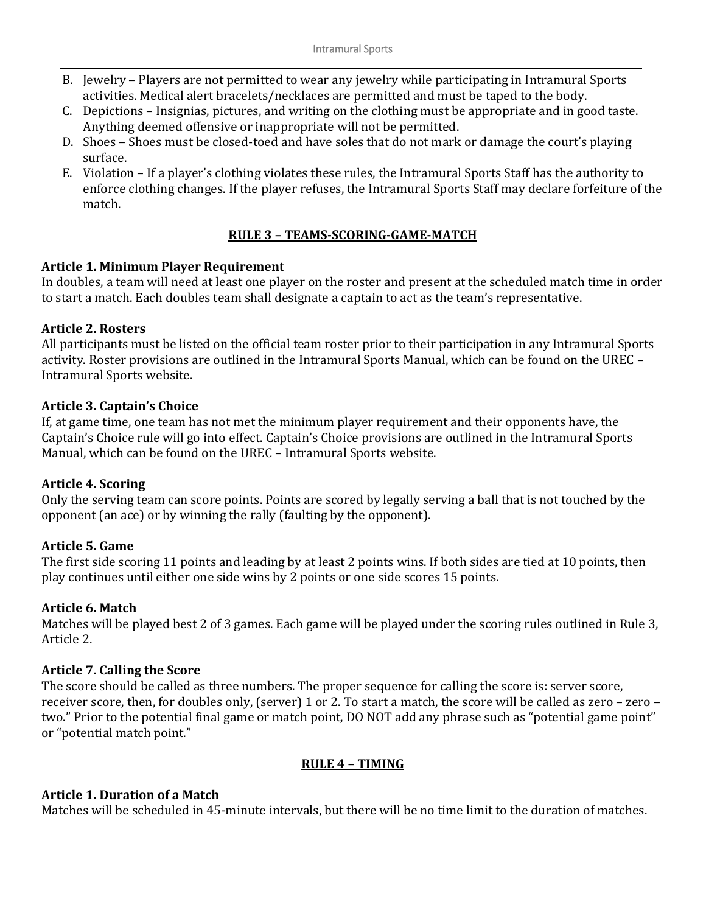- B. Jewelry Players are not permitted to wear any jewelry while participating in Intramural Sports activities. Medical alert bracelets/necklaces are permitted and must be taped to the body.
- C. Depictions Insignias, pictures, and writing on the clothing must be appropriate and in good taste. Anything deemed offensive or inappropriate will not be permitted.
- D. Shoes Shoes must be closed-toed and have soles that do not mark or damage the court's playing surface.
- E. Violation If a player's clothing violates these rules, the Intramural Sports Staff has the authority to enforce clothing changes. If the player refuses, the Intramural Sports Staff may declare forfeiture of the match.

## **RULE 3 – TEAMS-SCORING-GAME-MATCH**

## **Article 1. Minimum Player Requirement**

In doubles, a team will need at least one player on the roster and present at the scheduled match time in order to start a match. Each doubles team shall designate a captain to act as the team's representative.

#### **Article 2. Rosters**

All participants must be listed on the official team roster prior to their participation in any Intramural Sports activity. Roster provisions are outlined in the Intramural Sports Manual, which can be found on the UREC – Intramural Sports website.

#### **Article 3. Captain's Choice**

If, at game time, one team has not met the minimum player requirement and their opponents have, the Captain's Choice rule will go into effect. Captain's Choice provisions are outlined in the Intramural Sports Manual, which can be found on the UREC – Intramural Sports website.

## **Article 4. Scoring**

Only the serving team can score points. Points are scored by legally serving a ball that is not touched by the opponent (an ace) or by winning the rally (faulting by the opponent).

## **Article 5. Game**

The first side scoring 11 points and leading by at least 2 points wins. If both sides are tied at 10 points, then play continues until either one side wins by 2 points or one side scores 15 points.

#### **Article 6. Match**

Matches will be played best 2 of 3 games. Each game will be played under the scoring rules outlined in Rule 3, Article 2.

## **Article 7. Calling the Score**

The score should be called as three numbers. The proper sequence for calling the score is: server score, receiver score, then, for doubles only, (server) 1 or 2. To start a match, the score will be called as zero – zero – two." Prior to the potential final game or match point, DO NOT add any phrase such as "potential game point" or "potential match point."

## **RULE 4 – TIMING**

## **Article 1. Duration of a Match**

Matches will be scheduled in 45-minute intervals, but there will be no time limit to the duration of matches.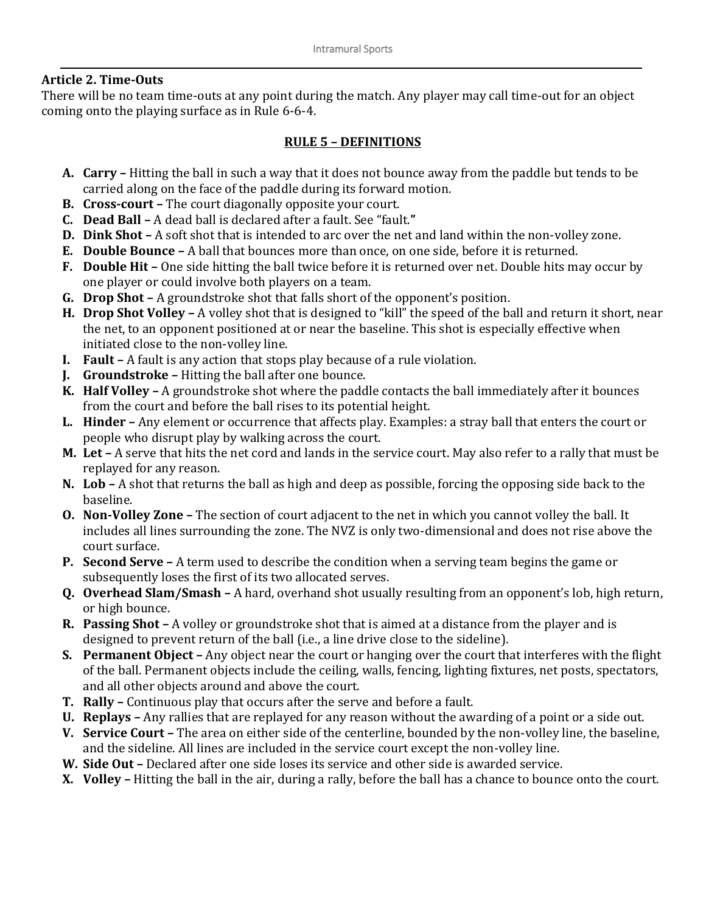# **Article 2. Time-Outs**

There will be no team time-outs at any point during the match. Any player may call time-out for an object coming onto the playing surface as in Rule 6-6-4.

# **RULE 5 – DEFINITIONS**

- **A. Carry –** Hitting the ball in such a way that it does not bounce away from the paddle but tends to be carried along on the face of the paddle during its forward motion.
- **B. Cross-court –** The court diagonally opposite your court.
- **C. Dead Ball –** A dead ball is declared after a fault. See "fault.**"**
- **D. Dink Shot –** A soft shot that is intended to arc over the net and land within the non-volley zone.
- **E. Double Bounce –** A ball that bounces more than once, on one side, before it is returned.
- **F. Double Hit –** One side hitting the ball twice before it is returned over net. Double hits may occur by one player or could involve both players on a team.
- **G. Drop Shot –** A groundstroke shot that falls short of the opponent's position.
- **H. Drop Shot Volley –** A volley shot that is designed to "kill" the speed of the ball and return it short, near the net, to an opponent positioned at or near the baseline. This shot is especially effective when initiated close to the non-volley line.
- **I. Fault –** A fault is any action that stops play because of a rule violation.
- **J. Groundstroke –** Hitting the ball after one bounce.
- **K. Half Volley –** A groundstroke shot where the paddle contacts the ball immediately after it bounces from the court and before the ball rises to its potential height.
- **L. Hinder –** Any element or occurrence that affects play. Examples: a stray ball that enters the court or people who disrupt play by walking across the court.
- **M. Let –** A serve that hits the net cord and lands in the service court. May also refer to a rally that must be replayed for any reason.
- **N. Lob –** A shot that returns the ball as high and deep as possible, forcing the opposing side back to the baseline.
- **O. Non-Volley Zone –** The section of court adjacent to the net in which you cannot volley the ball. It includes all lines surrounding the zone. The NVZ is only two-dimensional and does not rise above the court surface.
- **P. Second Serve –** A term used to describe the condition when a serving team begins the game or subsequently loses the first of its two allocated serves.
- **Q. Overhead Slam/Smash –** A hard, overhand shot usually resulting from an opponent's lob, high return, or high bounce.
- **R. Passing Shot –** A volley or groundstroke shot that is aimed at a distance from the player and is designed to prevent return of the ball (i.e., a line drive close to the sideline).
- **S. Permanent Object –** Any object near the court or hanging over the court that interferes with the flight of the ball. Permanent objects include the ceiling, walls, fencing, lighting fixtures, net posts, spectators, and all other objects around and above the court.
- **T. Rally –** Continuous play that occurs after the serve and before a fault.
- **U. Replays –** Any rallies that are replayed for any reason without the awarding of a point or a side out.
- **V. Service Court –** The area on either side of the centerline, bounded by the non-volley line, the baseline, and the sideline. All lines are included in the service court except the non-volley line.
- **W. Side Out –** Declared after one side loses its service and other side is awarded service.
- **X. Volley –** Hitting the ball in the air, during a rally, before the ball has a chance to bounce onto the court.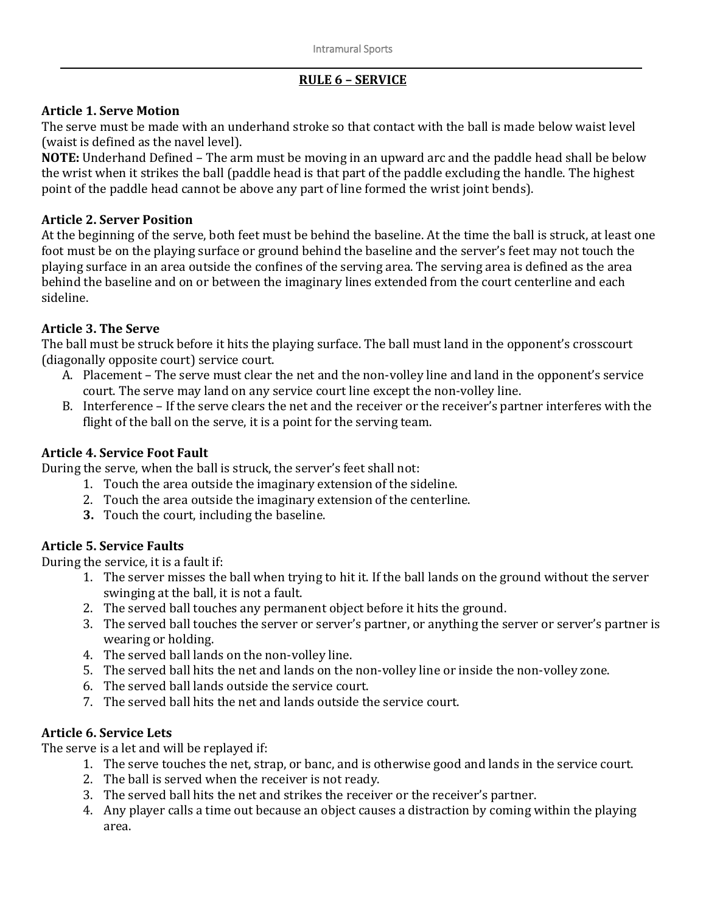# **RULE 6 – SERVICE**

# **Article 1. Serve Motion**

The serve must be made with an underhand stroke so that contact with the ball is made below waist level (waist is defined as the navel level).

**NOTE:** Underhand Defined – The arm must be moving in an upward arc and the paddle head shall be below the wrist when it strikes the ball (paddle head is that part of the paddle excluding the handle. The highest point of the paddle head cannot be above any part of line formed the wrist joint bends).

# **Article 2. Server Position**

At the beginning of the serve, both feet must be behind the baseline. At the time the ball is struck, at least one foot must be on the playing surface or ground behind the baseline and the server's feet may not touch the playing surface in an area outside the confines of the serving area. The serving area is defined as the area behind the baseline and on or between the imaginary lines extended from the court centerline and each sideline.

# **Article 3. The Serve**

The ball must be struck before it hits the playing surface. The ball must land in the opponent's crosscourt (diagonally opposite court) service court.

- A. Placement The serve must clear the net and the non-volley line and land in the opponent's service court. The serve may land on any service court line except the non-volley line.
- B. Interference If the serve clears the net and the receiver or the receiver's partner interferes with the flight of the ball on the serve, it is a point for the serving team.

# **Article 4. Service Foot Fault**

During the serve, when the ball is struck, the server's feet shall not:

- 1. Touch the area outside the imaginary extension of the sideline.
- 2. Touch the area outside the imaginary extension of the centerline.
- **3.** Touch the court, including the baseline.

# **Article 5. Service Faults**

During the service, it is a fault if:

- 1. The server misses the ball when trying to hit it. If the ball lands on the ground without the server swinging at the ball, it is not a fault.
- 2. The served ball touches any permanent object before it hits the ground.
- 3. The served ball touches the server or server's partner, or anything the server or server's partner is wearing or holding.
- 4. The served ball lands on the non-volley line.
- 5. The served ball hits the net and lands on the non-volley line or inside the non-volley zone.
- 6. The served ball lands outside the service court.
- 7. The served ball hits the net and lands outside the service court.

# **Article 6. Service Lets**

The serve is a let and will be replayed if:

- 1. The serve touches the net, strap, or banc, and is otherwise good and lands in the service court.
- 2. The ball is served when the receiver is not ready.
- 3. The served ball hits the net and strikes the receiver or the receiver's partner.
- 4. Any player calls a time out because an object causes a distraction by coming within the playing area.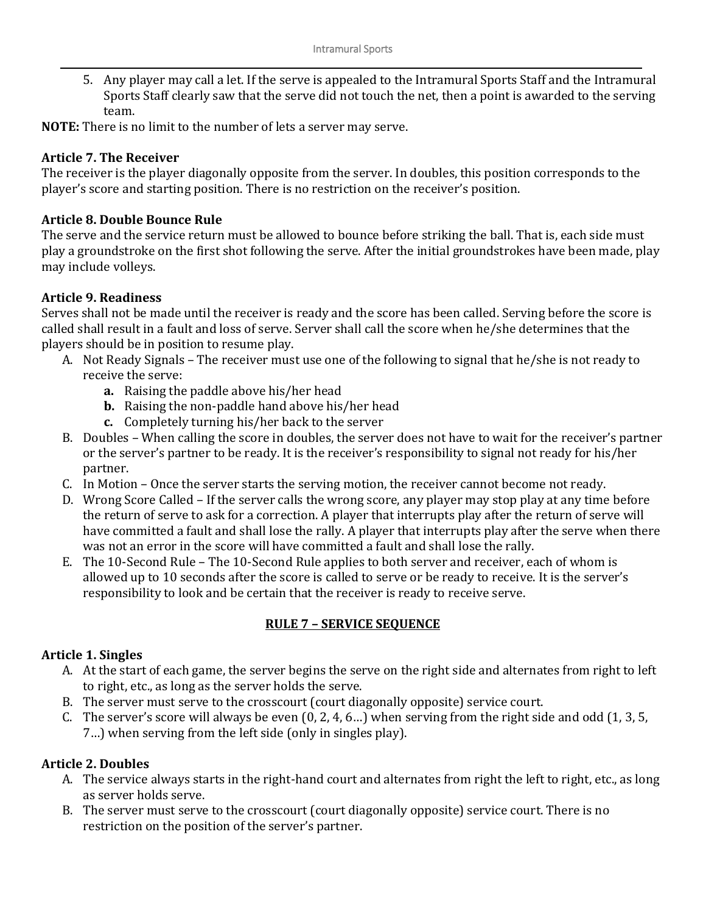5. Any player may call a let. If the serve is appealed to the Intramural Sports Staff and the Intramural Sports Staff clearly saw that the serve did not touch the net, then a point is awarded to the serving team.

**NOTE:** There is no limit to the number of lets a server may serve.

## **Article 7. The Receiver**

The receiver is the player diagonally opposite from the server. In doubles, this position corresponds to the player's score and starting position. There is no restriction on the receiver's position.

#### **Article 8. Double Bounce Rule**

The serve and the service return must be allowed to bounce before striking the ball. That is, each side must play a groundstroke on the first shot following the serve. After the initial groundstrokes have been made, play may include volleys.

## **Article 9. Readiness**

Serves shall not be made until the receiver is ready and the score has been called. Serving before the score is called shall result in a fault and loss of serve. Server shall call the score when he/she determines that the players should be in position to resume play.

- A. Not Ready Signals The receiver must use one of the following to signal that he/she is not ready to receive the serve:
	- **a.** Raising the paddle above his/her head
	- **b.** Raising the non-paddle hand above his/her head
	- **c.** Completely turning his/her back to the server
- B. Doubles When calling the score in doubles, the server does not have to wait for the receiver's partner or the server's partner to be ready. It is the receiver's responsibility to signal not ready for his/her partner.
- C. In Motion Once the server starts the serving motion, the receiver cannot become not ready.
- D. Wrong Score Called If the server calls the wrong score, any player may stop play at any time before the return of serve to ask for a correction. A player that interrupts play after the return of serve will have committed a fault and shall lose the rally. A player that interrupts play after the serve when there was not an error in the score will have committed a fault and shall lose the rally.
- E. The 10-Second Rule The 10-Second Rule applies to both server and receiver, each of whom is allowed up to 10 seconds after the score is called to serve or be ready to receive. It is the server's responsibility to look and be certain that the receiver is ready to receive serve.

## **RULE 7 – SERVICE SEQUENCE**

## **Article 1. Singles**

- A. At the start of each game, the server begins the serve on the right side and alternates from right to left to right, etc., as long as the server holds the serve.
- B. The server must serve to the crosscourt (court diagonally opposite) service court.
- C. The server's score will always be even (0, 2, 4, 6…) when serving from the right side and odd (1, 3, 5, 7…) when serving from the left side (only in singles play).

## **Article 2. Doubles**

- A. The service always starts in the right-hand court and alternates from right the left to right, etc., as long as server holds serve.
- B. The server must serve to the crosscourt (court diagonally opposite) service court. There is no restriction on the position of the server's partner.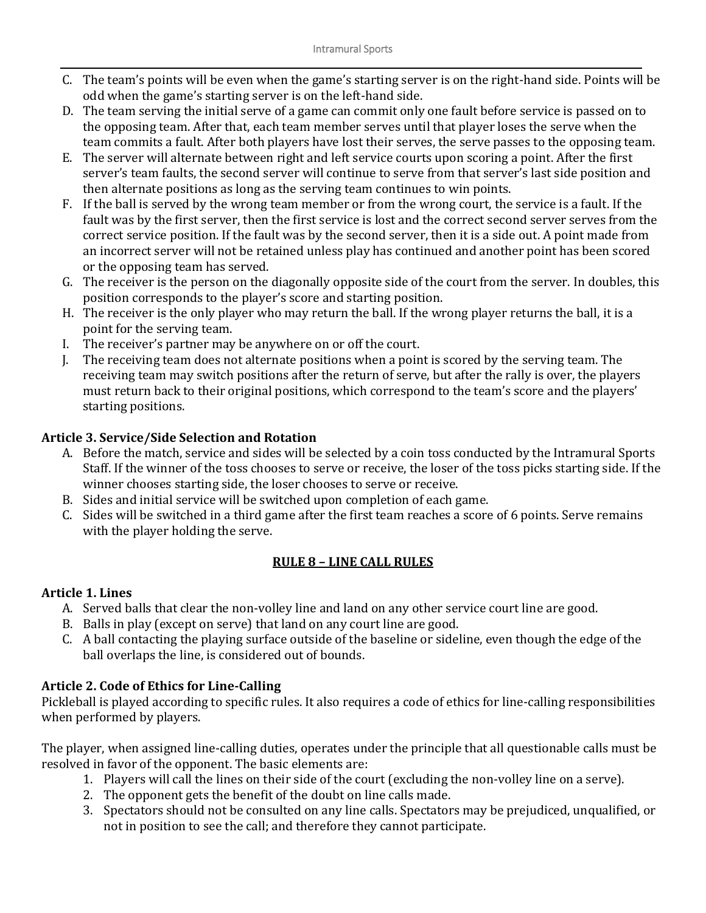- C. The team's points will be even when the game's starting server is on the right-hand side. Points will be odd when the game's starting server is on the left-hand side.
- D. The team serving the initial serve of a game can commit only one fault before service is passed on to the opposing team. After that, each team member serves until that player loses the serve when the team commits a fault. After both players have lost their serves, the serve passes to the opposing team.
- E. The server will alternate between right and left service courts upon scoring a point. After the first server's team faults, the second server will continue to serve from that server's last side position and then alternate positions as long as the serving team continues to win points.
- F. If the ball is served by the wrong team member or from the wrong court, the service is a fault. If the fault was by the first server, then the first service is lost and the correct second server serves from the correct service position. If the fault was by the second server, then it is a side out. A point made from an incorrect server will not be retained unless play has continued and another point has been scored or the opposing team has served.
- G. The receiver is the person on the diagonally opposite side of the court from the server. In doubles, this position corresponds to the player's score and starting position.
- H. The receiver is the only player who may return the ball. If the wrong player returns the ball, it is a point for the serving team.
- I. The receiver's partner may be anywhere on or off the court.
- J. The receiving team does not alternate positions when a point is scored by the serving team. The receiving team may switch positions after the return of serve, but after the rally is over, the players must return back to their original positions, which correspond to the team's score and the players' starting positions.

## **Article 3. Service/Side Selection and Rotation**

- A. Before the match, service and sides will be selected by a coin toss conducted by the Intramural Sports Staff. If the winner of the toss chooses to serve or receive, the loser of the toss picks starting side. If the winner chooses starting side, the loser chooses to serve or receive.
- B. Sides and initial service will be switched upon completion of each game.
- C. Sides will be switched in a third game after the first team reaches a score of 6 points. Serve remains with the player holding the serve.

# **RULE 8 – LINE CALL RULES**

## **Article 1. Lines**

- A. Served balls that clear the non-volley line and land on any other service court line are good.
- B. Balls in play (except on serve) that land on any court line are good.
- C. A ball contacting the playing surface outside of the baseline or sideline, even though the edge of the ball overlaps the line, is considered out of bounds.

# **Article 2. Code of Ethics for Line-Calling**

Pickleball is played according to specific rules. It also requires a code of ethics for line-calling responsibilities when performed by players.

The player, when assigned line-calling duties, operates under the principle that all questionable calls must be resolved in favor of the opponent. The basic elements are:

- 1. Players will call the lines on their side of the court (excluding the non-volley line on a serve).
- 2. The opponent gets the benefit of the doubt on line calls made.
- 3. Spectators should not be consulted on any line calls. Spectators may be prejudiced, unqualified, or not in position to see the call; and therefore they cannot participate.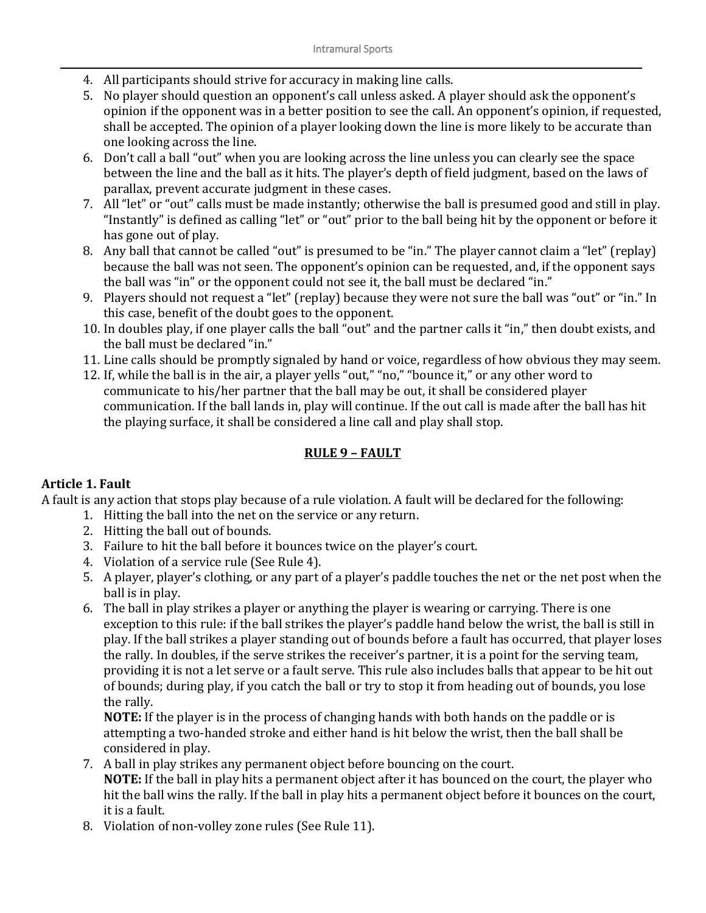- 4. All participants should strive for accuracy in making line calls.
- 5. No player should question an opponent's call unless asked. A player should ask the opponent's opinion if the opponent was in a better position to see the call. An opponent's opinion, if requested, shall be accepted. The opinion of a player looking down the line is more likely to be accurate than one looking across the line.
- 6. Don't call a ball "out" when you are looking across the line unless you can clearly see the space between the line and the ball as it hits. The player's depth of field judgment, based on the laws of parallax, prevent accurate judgment in these cases.
- 7. All "let" or "out" calls must be made instantly; otherwise the ball is presumed good and still in play. "Instantly" is defined as calling "let" or "out" prior to the ball being hit by the opponent or before it has gone out of play.
- 8. Any ball that cannot be called "out" is presumed to be "in." The player cannot claim a "let" (replay) because the ball was not seen. The opponent's opinion can be requested, and, if the opponent says the ball was "in" or the opponent could not see it, the ball must be declared "in."
- 9. Players should not request a "let" (replay) because they were not sure the ball was "out" or "in." In this case, benefit of the doubt goes to the opponent.
- 10. In doubles play, if one player calls the ball "out" and the partner calls it "in," then doubt exists, and the ball must be declared "in."
- 11. Line calls should be promptly signaled by hand or voice, regardless of how obvious they may seem.
- 12. If, while the ball is in the air, a player yells "out," "no," "bounce it," or any other word to communicate to his/her partner that the ball may be out, it shall be considered player communication. If the ball lands in, play will continue. If the out call is made after the ball has hit the playing surface, it shall be considered a line call and play shall stop.

# **RULE 9 – FAULT**

## **Article 1. Fault**

A fault is any action that stops play because of a rule violation. A fault will be declared for the following:

- 1. Hitting the ball into the net on the service or any return.
- 2. Hitting the ball out of bounds.
- 3. Failure to hit the ball before it bounces twice on the player's court.
- 4. Violation of a service rule (See Rule 4).
- 5. A player, player's clothing, or any part of a player's paddle touches the net or the net post when the ball is in play.
- 6. The ball in play strikes a player or anything the player is wearing or carrying. There is one exception to this rule: if the ball strikes the player's paddle hand below the wrist, the ball is still in play. If the ball strikes a player standing out of bounds before a fault has occurred, that player loses the rally. In doubles, if the serve strikes the receiver's partner, it is a point for the serving team, providing it is not a let serve or a fault serve. This rule also includes balls that appear to be hit out of bounds; during play, if you catch the ball or try to stop it from heading out of bounds, you lose the rally.

**NOTE:** If the player is in the process of changing hands with both hands on the paddle or is attempting a two-handed stroke and either hand is hit below the wrist, then the ball shall be considered in play.

- 7. A ball in play strikes any permanent object before bouncing on the court. **NOTE:** If the ball in play hits a permanent object after it has bounced on the court, the player who hit the ball wins the rally. If the ball in play hits a permanent object before it bounces on the court, it is a fault.
- 8. Violation of non-volley zone rules (See Rule 11).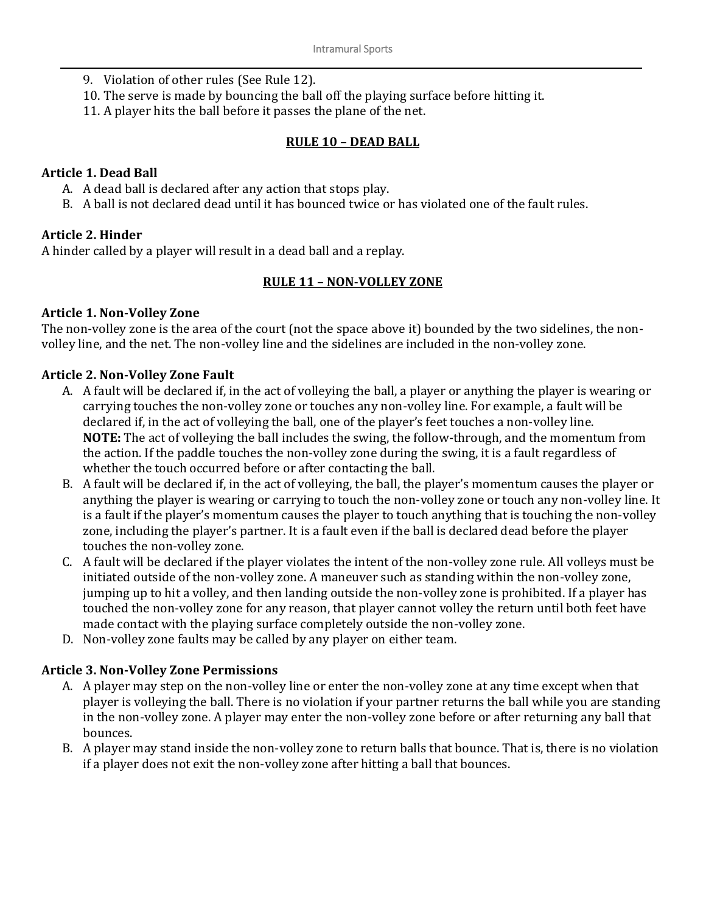- 9. Violation of other rules (See Rule 12).
- 10. The serve is made by bouncing the ball off the playing surface before hitting it.
- 11. A player hits the ball before it passes the plane of the net.

#### **RULE 10 – DEAD BALL**

#### **Article 1. Dead Ball**

- A. A dead ball is declared after any action that stops play.
- B. A ball is not declared dead until it has bounced twice or has violated one of the fault rules.

## **Article 2. Hinder**

A hinder called by a player will result in a dead ball and a replay.

## **RULE 11 – NON-VOLLEY ZONE**

#### **Article 1. Non-Volley Zone**

The non-volley zone is the area of the court (not the space above it) bounded by the two sidelines, the nonvolley line, and the net. The non-volley line and the sidelines are included in the non-volley zone.

#### **Article 2. Non-Volley Zone Fault**

- A. A fault will be declared if, in the act of volleying the ball, a player or anything the player is wearing or carrying touches the non-volley zone or touches any non-volley line. For example, a fault will be declared if, in the act of volleying the ball, one of the player's feet touches a non-volley line. **NOTE:** The act of volleying the ball includes the swing, the follow-through, and the momentum from the action. If the paddle touches the non-volley zone during the swing, it is a fault regardless of whether the touch occurred before or after contacting the ball.
- B. A fault will be declared if, in the act of volleying, the ball, the player's momentum causes the player or anything the player is wearing or carrying to touch the non-volley zone or touch any non-volley line. It is a fault if the player's momentum causes the player to touch anything that is touching the non-volley zone, including the player's partner. It is a fault even if the ball is declared dead before the player touches the non-volley zone.
- C. A fault will be declared if the player violates the intent of the non-volley zone rule. All volleys must be initiated outside of the non-volley zone. A maneuver such as standing within the non-volley zone, jumping up to hit a volley, and then landing outside the non-volley zone is prohibited. If a player has touched the non-volley zone for any reason, that player cannot volley the return until both feet have made contact with the playing surface completely outside the non-volley zone.
- D. Non-volley zone faults may be called by any player on either team.

## **Article 3. Non-Volley Zone Permissions**

- A. A player may step on the non-volley line or enter the non-volley zone at any time except when that player is volleying the ball. There is no violation if your partner returns the ball while you are standing in the non-volley zone. A player may enter the non-volley zone before or after returning any ball that bounces.
- B. A player may stand inside the non-volley zone to return balls that bounce. That is, there is no violation if a player does not exit the non-volley zone after hitting a ball that bounces.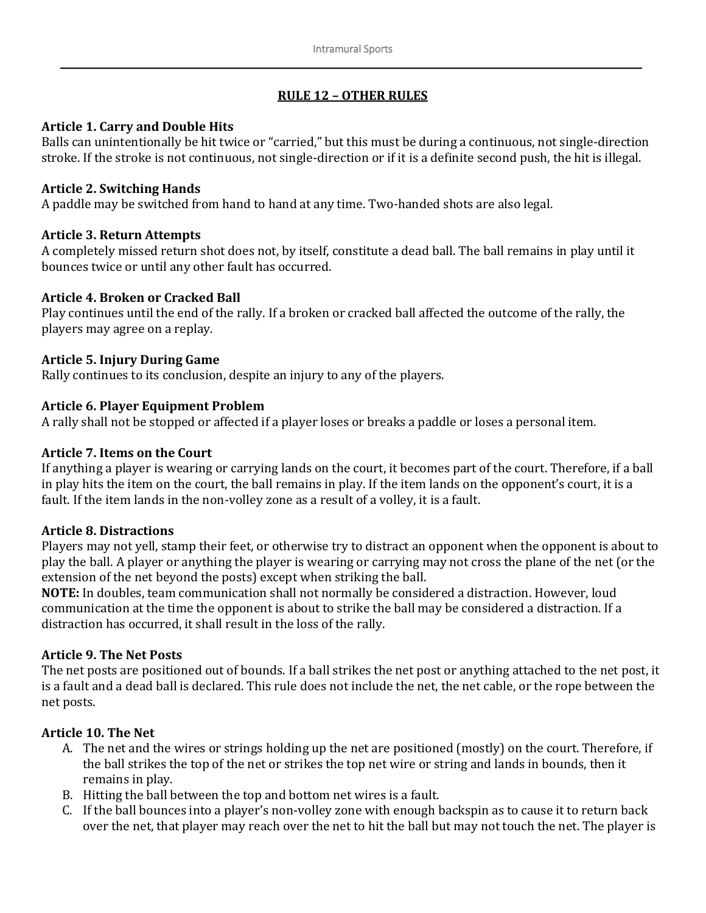# **RULE 12 – OTHER RULES**

#### **Article 1. Carry and Double Hits**

Balls can unintentionally be hit twice or "carried," but this must be during a continuous, not single-direction stroke. If the stroke is not continuous, not single-direction or if it is a definite second push, the hit is illegal.

#### **Article 2. Switching Hands**

A paddle may be switched from hand to hand at any time. Two-handed shots are also legal.

## **Article 3. Return Attempts**

A completely missed return shot does not, by itself, constitute a dead ball. The ball remains in play until it bounces twice or until any other fault has occurred.

#### **Article 4. Broken or Cracked Ball**

Play continues until the end of the rally. If a broken or cracked ball affected the outcome of the rally, the players may agree on a replay.

#### **Article 5. Injury During Game**

Rally continues to its conclusion, despite an injury to any of the players.

#### **Article 6. Player Equipment Problem**

A rally shall not be stopped or affected if a player loses or breaks a paddle or loses a personal item.

#### **Article 7. Items on the Court**

If anything a player is wearing or carrying lands on the court, it becomes part of the court. Therefore, if a ball in play hits the item on the court, the ball remains in play. If the item lands on the opponent's court, it is a fault. If the item lands in the non-volley zone as a result of a volley, it is a fault.

#### **Article 8. Distractions**

Players may not yell, stamp their feet, or otherwise try to distract an opponent when the opponent is about to play the ball. A player or anything the player is wearing or carrying may not cross the plane of the net (or the extension of the net beyond the posts) except when striking the ball.

**NOTE:** In doubles, team communication shall not normally be considered a distraction. However, loud communication at the time the opponent is about to strike the ball may be considered a distraction. If a distraction has occurred, it shall result in the loss of the rally.

## **Article 9. The Net Posts**

The net posts are positioned out of bounds. If a ball strikes the net post or anything attached to the net post, it is a fault and a dead ball is declared. This rule does not include the net, the net cable, or the rope between the net posts.

## **Article 10. The Net**

- A. The net and the wires or strings holding up the net are positioned (mostly) on the court. Therefore, if the ball strikes the top of the net or strikes the top net wire or string and lands in bounds, then it remains in play.
- B. Hitting the ball between the top and bottom net wires is a fault.
- C. If the ball bounces into a player's non-volley zone with enough backspin as to cause it to return back over the net, that player may reach over the net to hit the ball but may not touch the net. The player is